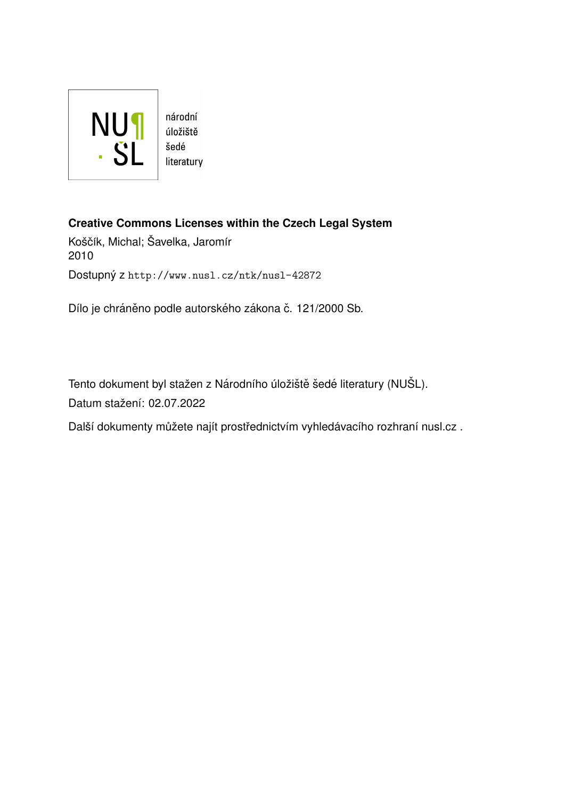

úložiště literatury

**Creative Commons Licenses within the Czech Legal System**

Koščík, Michal; Šavelka, Jaromír 2010 Dostupný z <http://www.nusl.cz/ntk/nusl-42872>

Dílo je chráněno podle autorského zákona č. 121/2000 Sb.

Tento dokument byl stažen z Národního úložiště šedé literatury (NUŠL). Datum stažení: 02.07.2022

Další dokumenty můžete najít prostřednictvím vyhledávacího rozhraní [nusl.cz](http://www.nusl.cz) .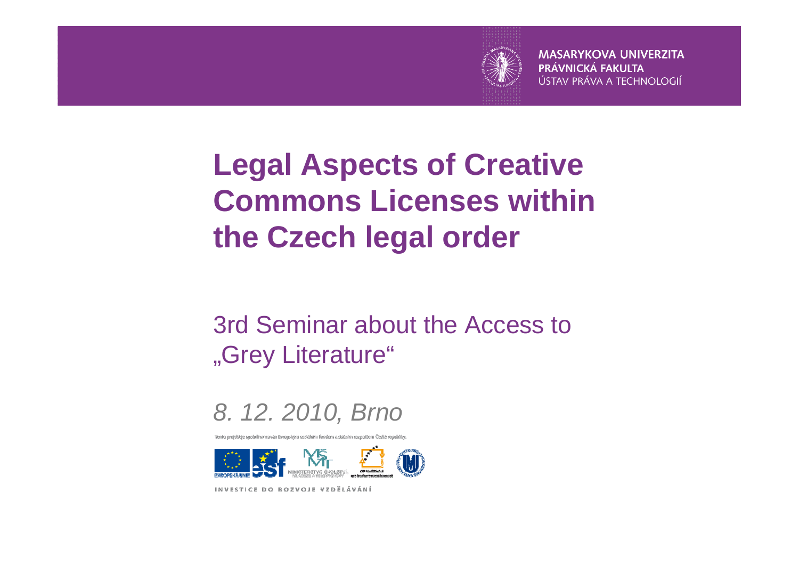

#### **Legal Aspects of Creative Commons Licenses within the Czech legal order**

#### 3rd Seminar about the Access to "Grey Literature"



Tento projekt je spolufinancován Evropským sociálním fondem a státním rozpočtem České republiky



INVESTICE DO ROZVOJE VZDĚLÁVÁNÍ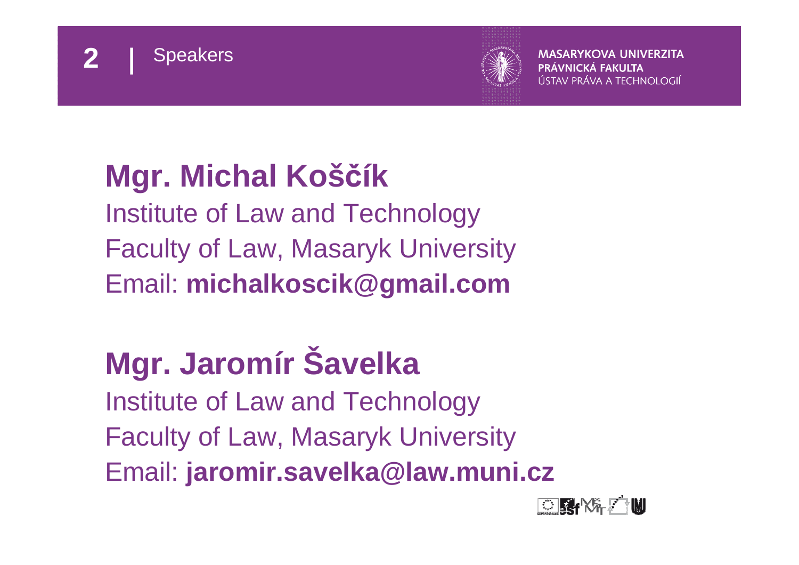



### **Mgr. Michal Koščík**

 Institute of Law and TechnologyFaculty of Law, Masaryk UniversityEmail: **michalkoscik@gmail.com**

### **Mgr. Jaromír Šavelka**

 Institute of Law and TechnologyFaculty of Law, Masaryk UniversityEmail: **jaromir.savelka@law.muni.cz**

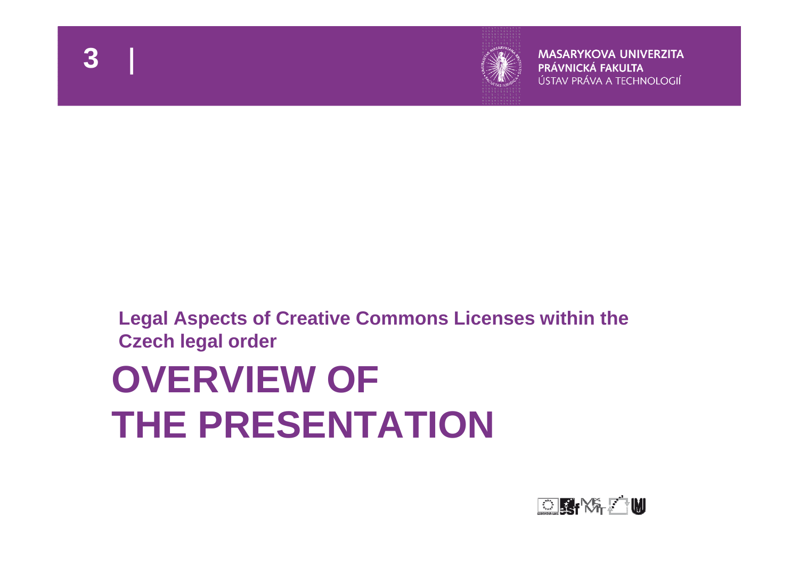



#### **Legal Aspects of Creative Commons Licenses within the Czech legal order**

# **OVERVIEW OF THE PRESENTATION**

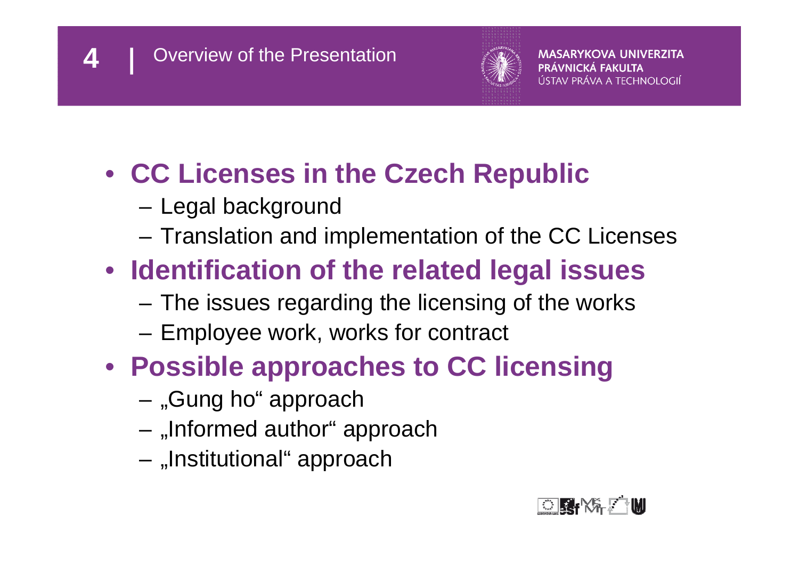



### • **CC Licenses in the Czech Republic**

- –Legal background
- –Translation and implementation of the CC Licenses

### • **Identification of the related legal issues**

- –The issues regarding the licensing of the works
- –Employee work, works for contract

### • **Possible approaches to CC licensing**

- –"Gung ho" approach
- –"Informed author" approach
- –"Institutional" approach

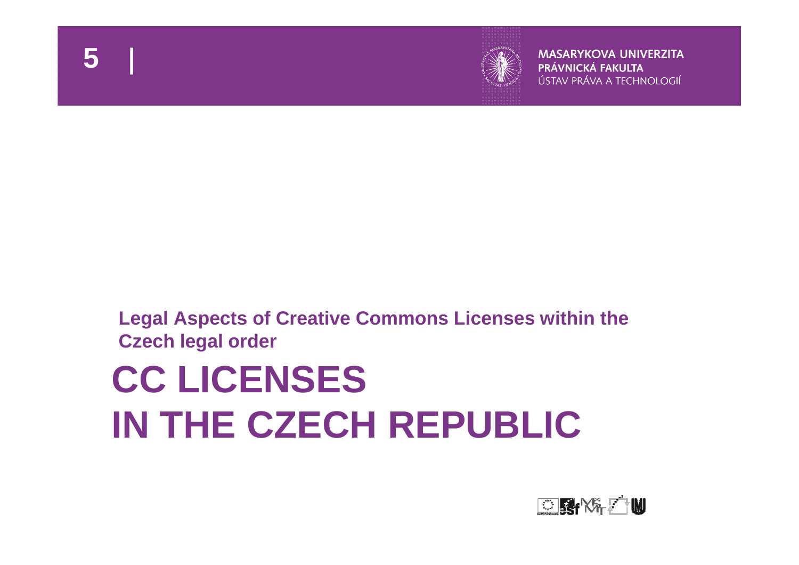



#### **Legal Aspects of Creative Commons Licenses within the Czech legal order**

# **CC LICENSES IN THE CZECH REPUBLIC**

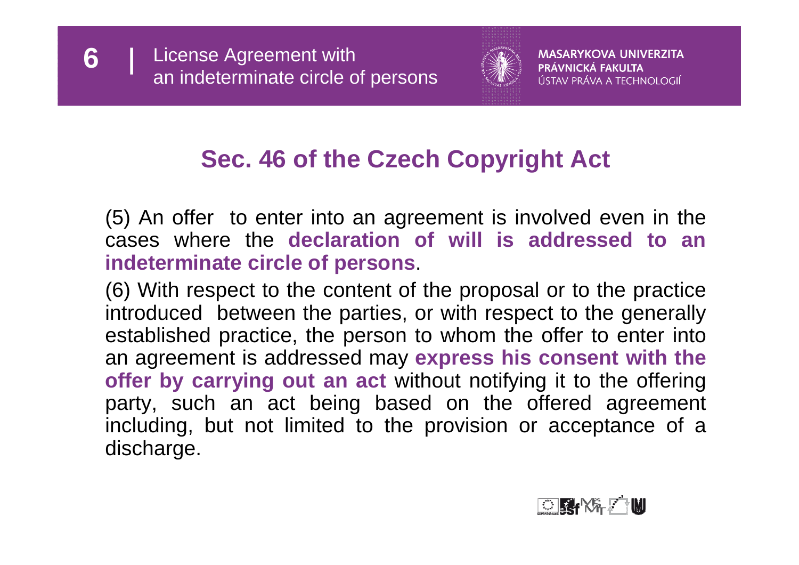

#### **Sec. 46 of the Czech Copyright Act**

(5) An offer to enter into an agreement is involved even in the cases where the **declaration of will is addressed to an indeterminate circle of persons**.

(6) With respect to the content of the proposal or to the practice introduced between the parties, or with respect to the generally established practice, the person to whom the offer to enter into an agreement is addressed may **express his consent with the offer by carrying out an act** without notifying it to the offering party, such an act being based on the offered agreement including, but not limited to the provision or acceptance of a discharge.

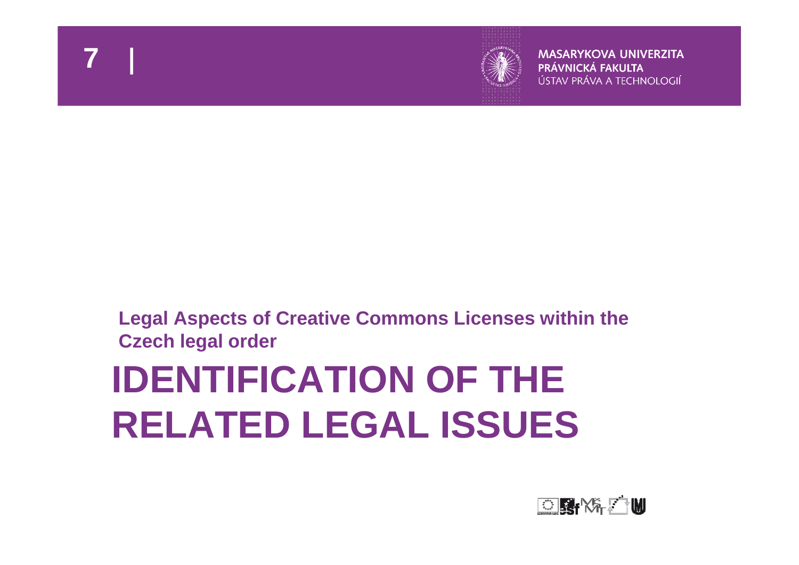**7**



**MASARYKOVA UNIVERZITA** PRÁVNICKÁ FAKULTA ÚSTAV PRÁVA A TECHNOLOGIÍ

#### **Legal Aspects of Creative Commons Licenses within the Czech legal order**

# **IDENTIFICATION OF THE RELATED LEGAL ISSUES**

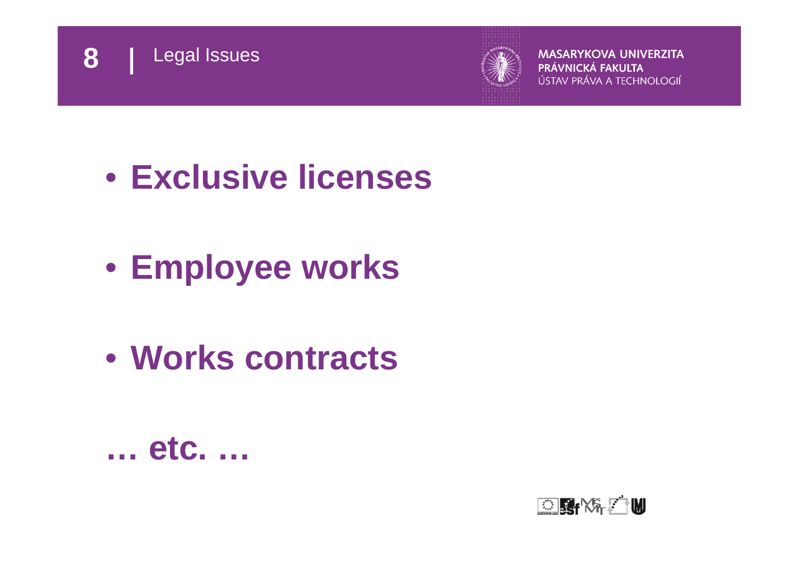



## • **Exclusive licenses**

- **Employee works**
- **Works contracts**



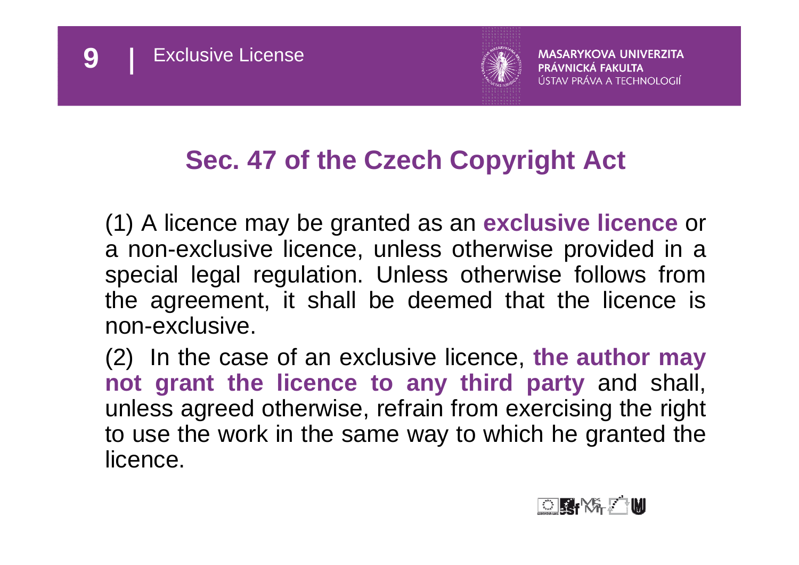



#### **Sec. 47 of the Czech Copyright Act**

(1) A licence may be granted as an **exclusive licence** or a non-exclusive licence, unless otherwise provided in <sup>a</sup> special legal regulation. Unless otherwise follows from the agreement, it shall be deemed that the licence is non-exclusive.

(2) In the case of an exclusive licence, **the author may not grant the licence to any third party** and shall, unless agreed otherwise, refrain from exercising the right to use the work in the same way to which he granted the licence.

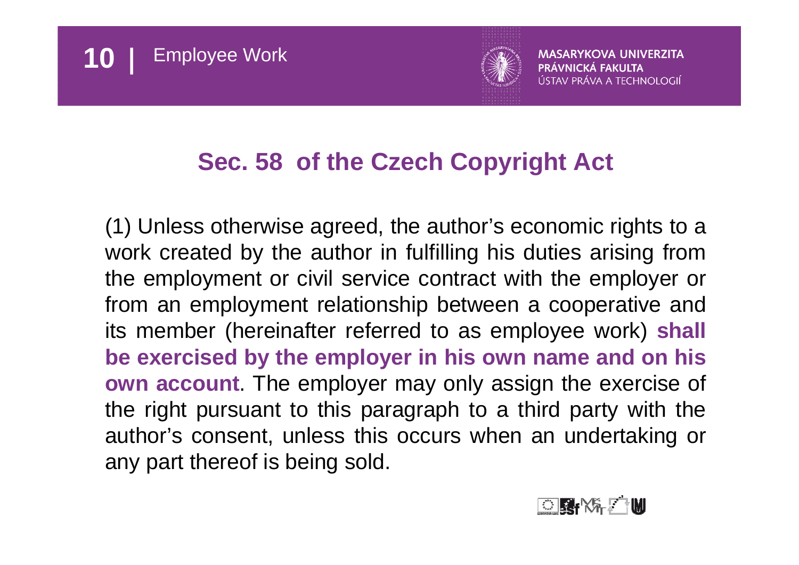



#### **Sec. 58 of the Czech Copyright Act**

(1) Unless otherwise agreed, the author's economic rights to a work created by the author in fulfilling his duties arising fromthe employment or civil service contract with the employer or from an employment relationship between a cooperative and its member (hereinafter referred to as employee work) **shall be exercised by the employer in his own name and on his own account**. The employer may only assign the exercise of the right pursuant to this paragraph to a third party with the author's consent, unless this occurs when an undertaking or any part thereof is being sold.

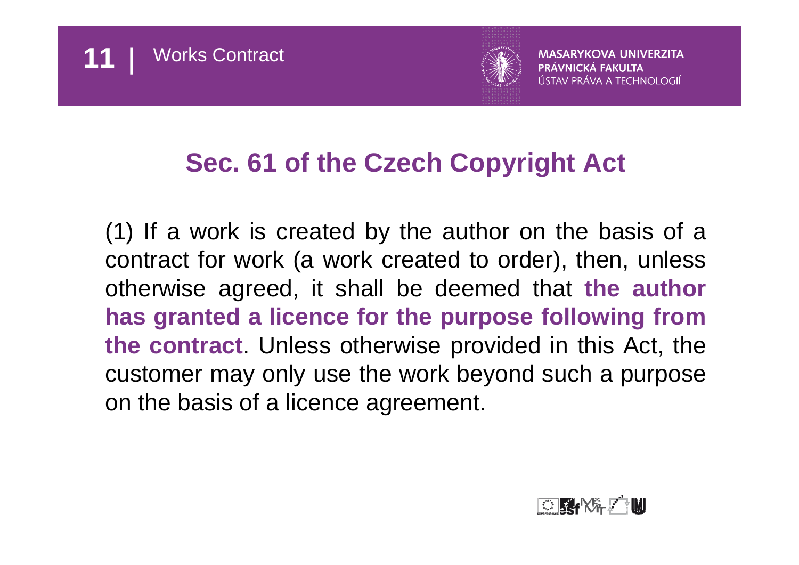



#### **Sec. 61 of the Czech Copyright Act**

(1) If a work is created by the author on the basis of a contract for work (a work created to order), then, unless otherwise agreed, it shall be deemed that **the author has granted a licence for the purpose following from the contract**. Unless otherwise provided in this Act, the customer may only use the work beyond such a purpose on the basis of a licence agreement.

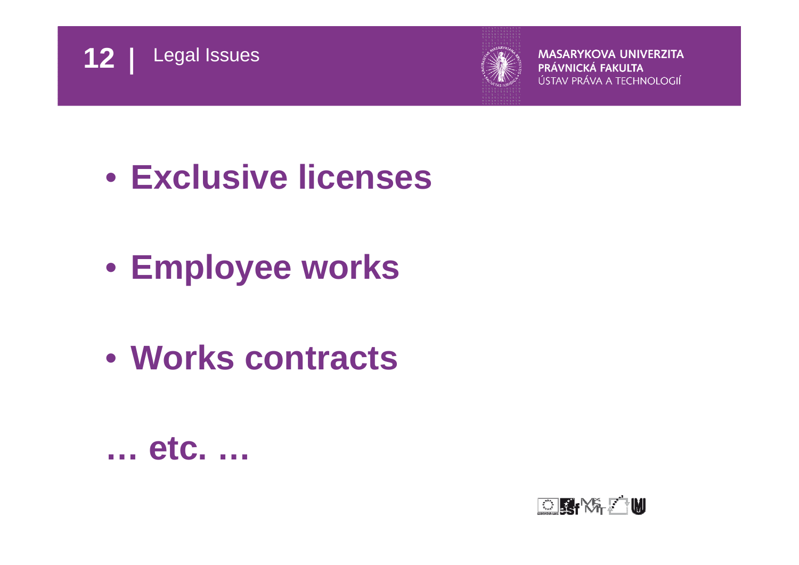



## • **Exclusive licenses**

- **Employee works**
- **Works contracts**



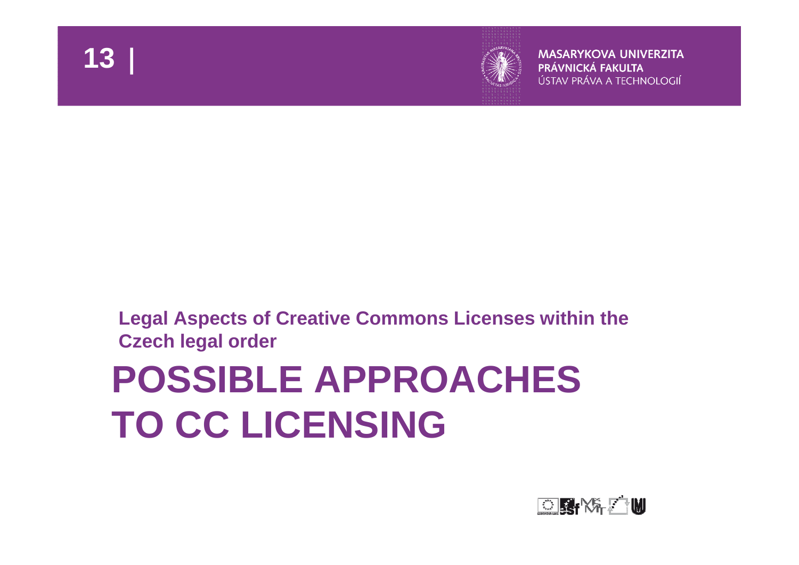



#### **Legal Aspects of Creative Commons Licenses within the Czech legal order**

# **POSSIBLE APPROACHESTO CC LICENSING**

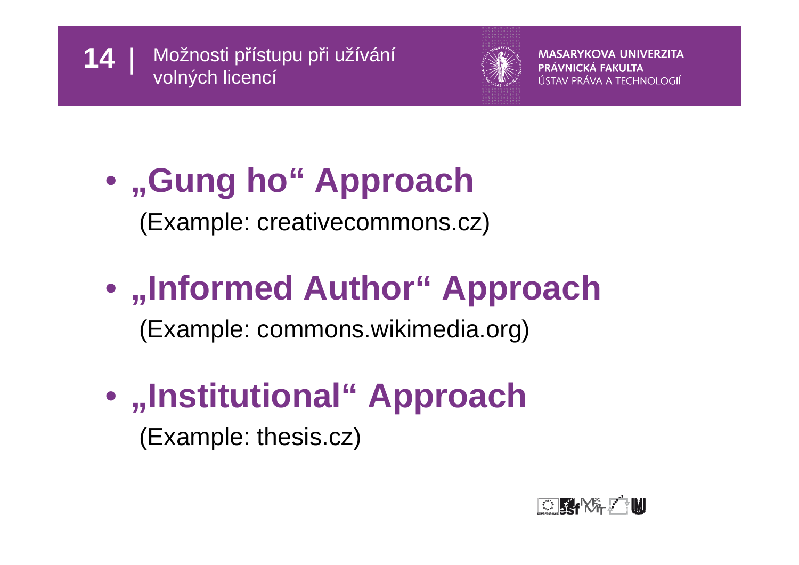



# • **"Gung ho" Approach**

(Example: creativecommons.cz)

## • **"Informed Author" Approach**

(Example: commons.wikimedia.org)

• **"Institutional" Approach**(Example: thesis.cz)

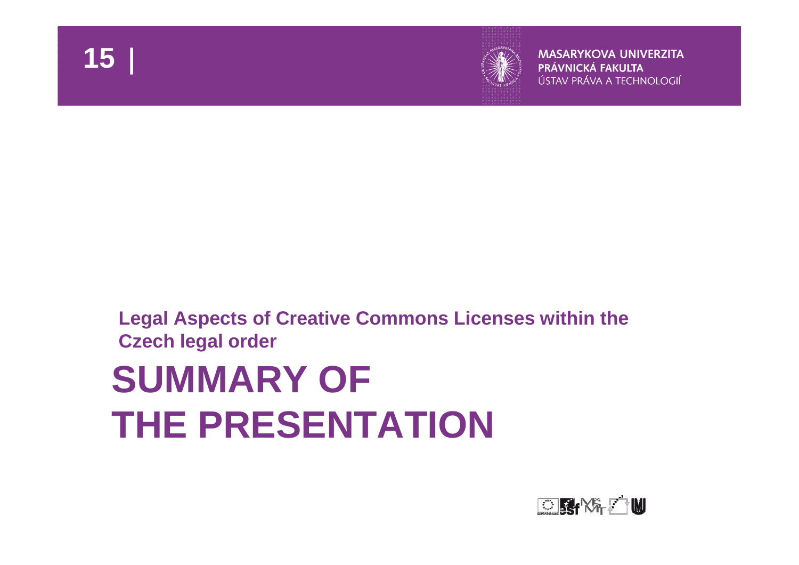



#### **Legal Aspects of Creative Commons Licenses within the Czech legal order**

# **SUMMARY OF THE PRESENTATION**

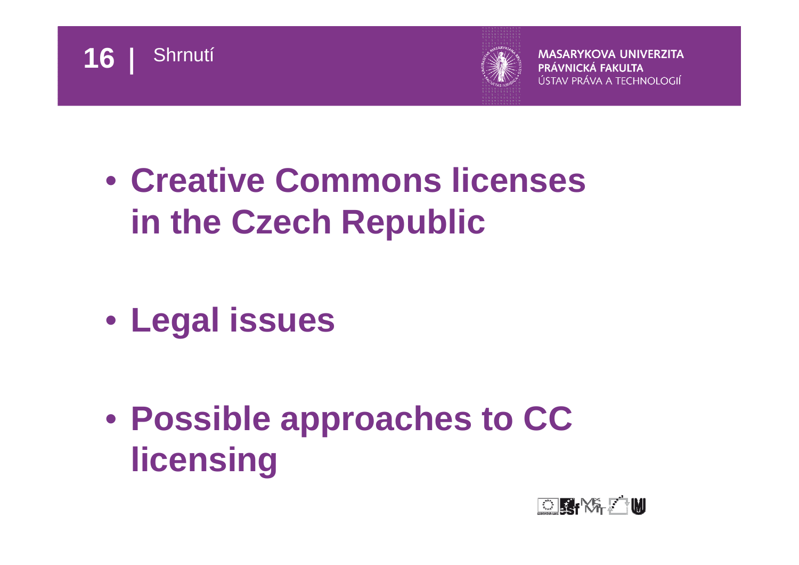



## • **Creative Commons licenses in the Czech Republic**

- **Legal issues**
- **Possible approaches to CC licensing**